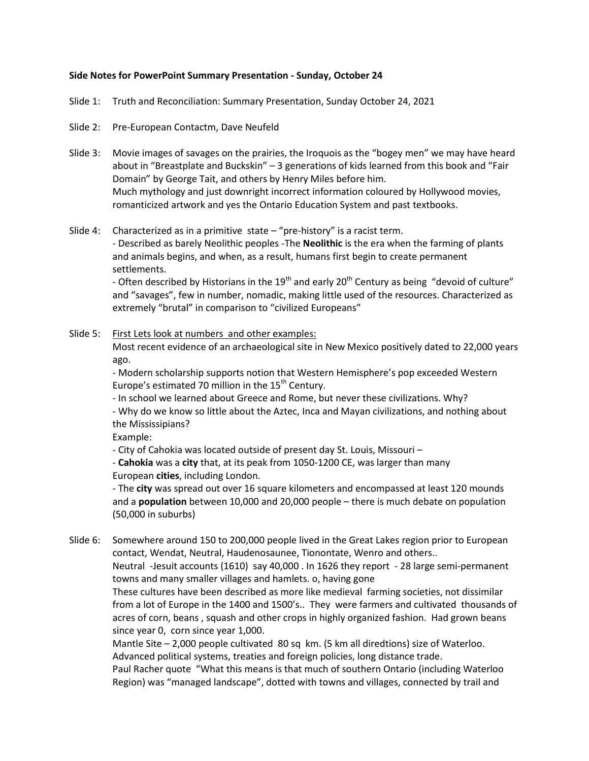# **Side Notes for PowerPoint Summary Presentation - Sunday, October 24**

Slide 1: Truth and Reconciliation: Summary Presentation, Sunday October 24, 2021

- Slide 2: Pre-European Contactm, Dave Neufeld
- Slide 3: Movie images of savages on the prairies, the Iroquois as the "bogey men" we may have heard about in "Breastplate and Buckskin" – 3 generations of kids learned from this book and "Fair Domain" by George Tait, and others by Henry Miles before him. Much mythology and just downright incorrect information coloured by Hollywood movies, romanticized artwork and yes the Ontario Education System and past textbooks.
- Slide 4: Characterized as in a primitive state "pre-history" is a racist term.

- Described as barely Neolithic peoples -The **Neolithic** is the era when the farming of plants and animals begins, and when, as a result, humans first begin to create permanent settlements.

- Often described by Historians in the  $19<sup>th</sup>$  and early 20<sup>th</sup> Century as being "devoid of culture" and "savages", few in number, nomadic, making little used of the resources. Characterized as extremely "brutal" in comparison to "civilized Europeans"

## Slide 5: First Lets look at numbers and other examples:

Most recent evidence of an archaeological site in New Mexico positively dated to 22,000 years ago.

- Modern scholarship supports notion that Western Hemisphere's pop exceeded Western Europe's estimated 70 million in the  $15<sup>th</sup>$  Century.

- In school we learned about Greece and Rome, but never these civilizations. Why?

- Why do we know so little about the Aztec, Inca and Mayan civilizations, and nothing about the Mississipians?

Example:

- City of Cahokia was located outside of present day St. Louis, Missouri –

- **Cahokia** was a **city** that, at its peak from 1050-1200 CE, was larger than many European **cities**, including London.

- The **city** was spread out over 16 square kilometers and encompassed at least 120 mounds and a **population** between 10,000 and 20,000 people – there is much debate on population (50,000 in suburbs)

Slide 6: Somewhere around 150 to 200,000 people lived in the Great Lakes region prior to European contact, Wendat, Neutral, Haudenosaunee, Tionontate, Wenro and others.. Neutral -Jesuit accounts (1610) say 40,000 . In 1626 they report - 28 large semi-permanent towns and many smaller villages and hamlets. o, having gone These cultures have been described as more like medieval farming societies, not dissimilar from a lot of Europe in the 1400 and 1500's.. They were farmers and cultivated thousands of acres of corn, beans , squash and other crops in highly organized fashion. Had grown beans since year 0, corn since year 1,000. Mantle Site – 2,000 people cultivated 80 sq km. (5 km all diredtions) size of Waterloo. Advanced political systems, treaties and foreign policies, long distance trade. Paul Racher quote "What this means is that much of southern Ontario (including Waterloo

Region) was "managed landscape", dotted with towns and villages, connected by trail and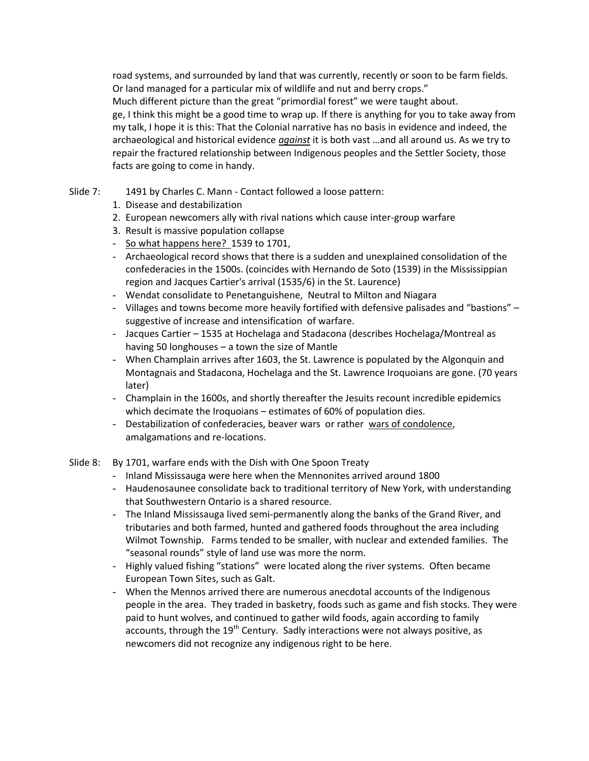road systems, and surrounded by land that was currently, recently or soon to be farm fields. Or land managed for a particular mix of wildlife and nut and berry crops." Much different picture than the great "primordial forest" we were taught about. ge, I think this might be a good time to wrap up. If there is anything for you to take away from my talk, I hope it is this: That the Colonial narrative has no basis in evidence and indeed, the archaeological and historical evidence *against* it is both vast …and all around us. As we try to repair the fractured relationship between Indigenous peoples and the Settler Society, those facts are going to come in handy.

# Slide 7: 1491 by Charles C. Mann - Contact followed a loose pattern:

- 1. Disease and destabilization
- 2. European newcomers ally with rival nations which cause inter-group warfare
- 3. Result is massive population collapse
- So what happens here? 1539 to 1701,
- Archaeological record shows that there is a sudden and unexplained consolidation of the confederacies in the 1500s. (coincides with Hernando de Soto (1539) in the Mississippian region and Jacques Cartier's arrival (1535/6) in the St. Laurence)
- Wendat consolidate to Penetanguishene, Neutral to Milton and Niagara
- Villages and towns become more heavily fortified with defensive palisades and "bastions" suggestive of increase and intensification of warfare.
- Jacques Cartier 1535 at Hochelaga and Stadacona (describes Hochelaga/Montreal as having 50 longhouses – a town the size of Mantle
- When Champlain arrives after 1603, the St. Lawrence is populated by the Algonquin and Montagnais and Stadacona, Hochelaga and the St. Lawrence Iroquoians are gone. (70 years later)
- Champlain in the 1600s, and shortly thereafter the Jesuits recount incredible epidemics which decimate the Iroquoians – estimates of 60% of population dies.
- Destabilization of confederacies, beaver wars or rather wars of condolence, amalgamations and re-locations.
- Slide 8: By 1701, warfare ends with the Dish with One Spoon Treaty
	- Inland Mississauga were here when the Mennonites arrived around 1800
	- Haudenosaunee consolidate back to traditional territory of New York, with understanding that Southwestern Ontario is a shared resource.
	- The Inland Mississauga lived semi-permanently along the banks of the Grand River, and tributaries and both farmed, hunted and gathered foods throughout the area including Wilmot Township. Farms tended to be smaller, with nuclear and extended families. The "seasonal rounds" style of land use was more the norm.
	- Highly valued fishing "stations" were located along the river systems. Often became European Town Sites, such as Galt.
	- When the Mennos arrived there are numerous anecdotal accounts of the Indigenous people in the area. They traded in basketry, foods such as game and fish stocks. They were paid to hunt wolves, and continued to gather wild foods, again according to family accounts, through the  $19<sup>th</sup>$  Century. Sadly interactions were not always positive, as newcomers did not recognize any indigenous right to be here.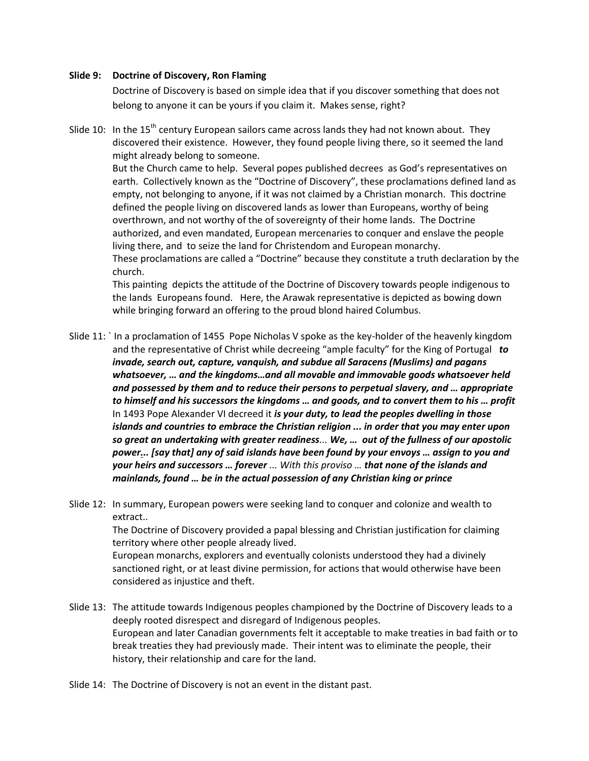### **Slide 9: Doctrine of Discovery, Ron Flaming**

Doctrine of Discovery is based on simple idea that if you discover something that does not belong to anyone it can be yours if you claim it. Makes sense, right?

Slide 10: In the 15<sup>th</sup> century European sailors came across lands they had not known about. They discovered their existence. However, they found people living there, so it seemed the land might already belong to someone. But the Church came to help. Several popes published decrees as God's representatives on earth. Collectively known as the "Doctrine of Discovery", these proclamations defined land as empty, not belonging to anyone, if it was not claimed by a Christian monarch. This doctrine defined the people living on discovered lands as lower than Europeans, worthy of being overthrown, and not worthy of the of sovereignty of their home lands. The Doctrine authorized, and even mandated, European mercenaries to conquer and enslave the people living there, and to seize the land for Christendom and European monarchy. These proclamations are called a "Doctrine" because they constitute a truth declaration by the church.

This painting depicts the attitude of the Doctrine of Discovery towards people indigenous to the lands Europeans found. Here, the Arawak representative is depicted as bowing down while bringing forward an offering to the proud blond haired Columbus.

Slide 11: ` In a proclamation of 1455 Pope Nicholas V spoke as the key-holder of the heavenly kingdom and the representative of Christ while decreeing "ample faculty" for the King of Portugal *to invade, search out, capture, vanquish, and subdue all Saracens (Muslims) and pagans whatsoever, … and the kingdoms…and all movable and immovable goods whatsoever held and possessed by them and to reduce their persons to perpetual slavery, and … appropriate to himself and his successors the kingdoms … and goods, and to convert them to his … profit* In 1493 Pope Alexander VI decreed it *is your duty, to lead the peoples dwelling in those islands and countries to embrace the Christian religion ... in order that you may enter upon so great an undertaking with greater readiness... We, … out of the fullness of our apostolic power... [say that] any of said islands have been found by your envoys … assign to you and your heirs and successors … forever ... With this proviso … that none of the islands and mainlands, found … be in the actual possession of any Christian king or prince* 

Slide 12: In summary, European powers were seeking land to conquer and colonize and wealth to extract.. The Doctrine of Discovery provided a papal blessing and Christian justification for claiming territory where other people already lived. European monarchs, explorers and eventually colonists understood they had a divinely sanctioned right, or at least divine permission, for actions that would otherwise have been considered as injustice and theft.

- Slide 13: The attitude towards Indigenous peoples championed by the Doctrine of Discovery leads to a deeply rooted disrespect and disregard of Indigenous peoples. European and later Canadian governments felt it acceptable to make treaties in bad faith or to break treaties they had previously made. Their intent was to eliminate the people, their history, their relationship and care for the land.
- Slide 14: The Doctrine of Discovery is not an event in the distant past.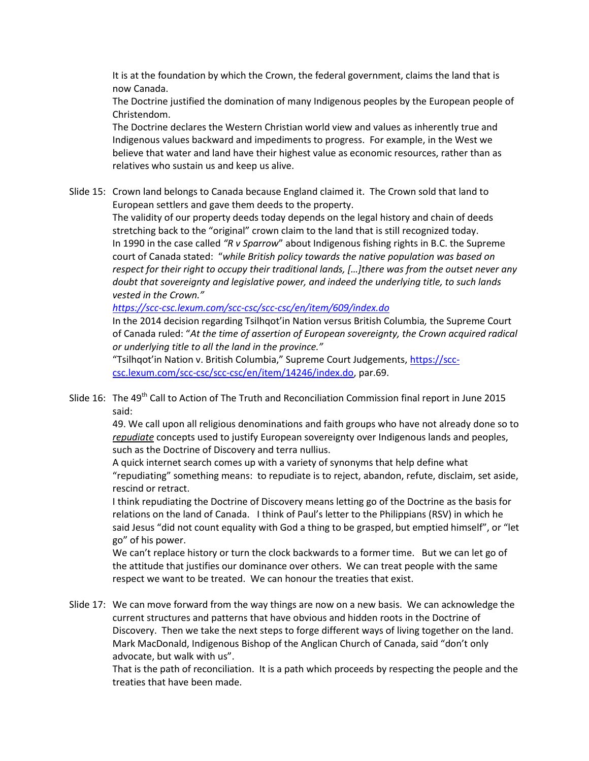It is at the foundation by which the Crown, the federal government, claims the land that is now Canada.

The Doctrine justified the domination of many Indigenous peoples by the European people of Christendom.

The Doctrine declares the Western Christian world view and values as inherently true and Indigenous values backward and impediments to progress. For example, in the West we believe that water and land have their highest value as economic resources, rather than as relatives who sustain us and keep us alive.

Slide 15: Crown land belongs to Canada because England claimed it. The Crown sold that land to European settlers and gave them deeds to the property.

> The validity of our property deeds today depends on the legal history and chain of deeds stretching back to the "original" crown claim to the land that is still recognized today. In 1990 in the case called *"R v Sparrow*" about Indigenous fishing rights in B.C. the Supreme court of Canada stated: "*while British policy towards the native population was based on respect for their right to occupy their traditional lands, […]there was from the outset never any doubt that sovereignty and legislative power, and indeed the underlying title, to such lands vested in the Crown."*

*<https://scc-csc.lexum.com/scc-csc/scc-csc/en/item/609/index.do>*

In the 2014 decision regarding Tsilhqot'in Nation versus British Columbia*,* the Supreme Court of Canada ruled: "*At the time of assertion of European sovereignty, the Crown acquired radical or underlying title to all the land in the province."*

"Tsilhqot'in Nation v. British Columbia," Supreme Court Judgements, [https://scc](https://scc-csc.lexum.com/scc-csc/scc-csc/en/item/14246/index.do)[csc.lexum.com/scc-csc/scc-csc/en/item/14246/index.do,](https://scc-csc.lexum.com/scc-csc/scc-csc/en/item/14246/index.do) par.69.

Slide 16: The 49<sup>th</sup> Call to Action of The Truth and Reconciliation Commission final report in June 2015 said:

49. We call upon all religious denominations and faith groups who have not already done so to *repudiate* concepts used to justify European sovereignty over Indigenous lands and peoples, such as the Doctrine of Discovery and terra nullius.

A quick internet search comes up with a variety of synonyms that help define what "repudiating" something means: to repudiate is to reject, abandon, refute, disclaim, set aside, rescind or retract.

I think repudiating the Doctrine of Discovery means letting go of the Doctrine as the basis for relations on the land of Canada. I think of Paul's letter to the Philippians (RSV) in which he said Jesus "did not count equality with God a thing to be grasped, but emptied himself", or "let go" of his power.

We can't replace history or turn the clock backwards to a former time. But we can let go of the attitude that justifies our dominance over others. We can treat people with the same respect we want to be treated. We can honour the treaties that exist.

Slide 17: We can move forward from the way things are now on a new basis. We can acknowledge the current structures and patterns that have obvious and hidden roots in the Doctrine of Discovery. Then we take the next steps to forge different ways of living together on the land. Mark MacDonald, Indigenous Bishop of the Anglican Church of Canada, said "don't only advocate, but walk with us".

That is the path of reconciliation. It is a path which proceeds by respecting the people and the treaties that have been made.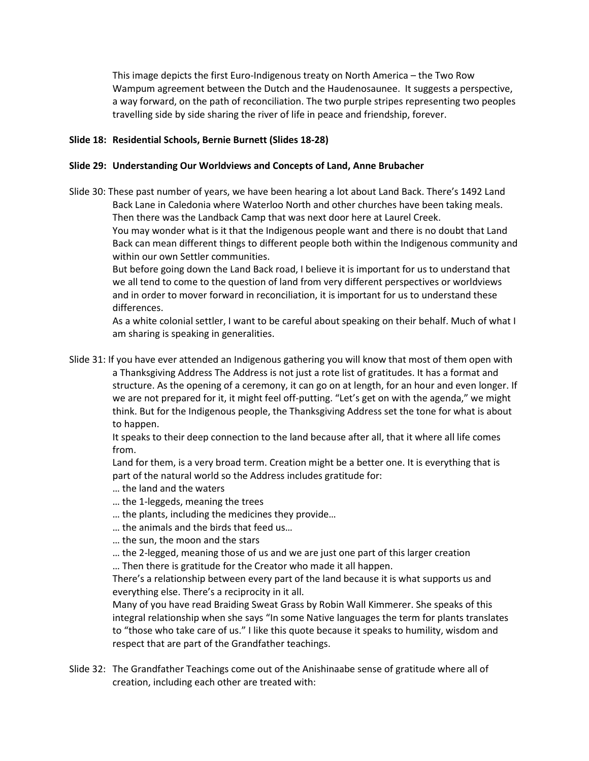This image depicts the first Euro-Indigenous treaty on North America – the Two Row Wampum agreement between the Dutch and the Haudenosaunee. It suggests a perspective, a way forward, on the path of reconciliation. The two purple stripes representing two peoples travelling side by side sharing the river of life in peace and friendship, forever.

# **Slide 18: Residential Schools, Bernie Burnett (Slides 18-28)**

# **Slide 29: Understanding Our Worldviews and Concepts of Land, Anne Brubacher**

Slide 30: These past number of years, we have been hearing a lot about Land Back. There's 1492 Land Back Lane in Caledonia where Waterloo North and other churches have been taking meals. Then there was the Landback Camp that was next door here at Laurel Creek. You may wonder what is it that the Indigenous people want and there is no doubt that Land Back can mean different things to different people both within the Indigenous community and

within our own Settler communities.

But before going down the Land Back road, I believe it is important for us to understand that we all tend to come to the question of land from very different perspectives or worldviews and in order to mover forward in reconciliation, it is important for us to understand these differences.

As a white colonial settler, I want to be careful about speaking on their behalf. Much of what I am sharing is speaking in generalities.

Slide 31: If you have ever attended an Indigenous gathering you will know that most of them open with a Thanksgiving Address The Address is not just a rote list of gratitudes. It has a format and structure. As the opening of a ceremony, it can go on at length, for an hour and even longer. If we are not prepared for it, it might feel off-putting. "Let's get on with the agenda," we might think. But for the Indigenous people, the Thanksgiving Address set the tone for what is about to happen.

It speaks to their deep connection to the land because after all, that it where all life comes from.

Land for them, is a very broad term. Creation might be a better one. It is everything that is part of the natural world so the Address includes gratitude for:

- … the land and the waters
- … the 1-leggeds, meaning the trees
- … the plants, including the medicines they provide…
- … the animals and the birds that feed us…
- … the sun, the moon and the stars
- … the 2-legged, meaning those of us and we are just one part of this larger creation
- … Then there is gratitude for the Creator who made it all happen.

There's a relationship between every part of the land because it is what supports us and everything else. There's a reciprocity in it all.

Many of you have read Braiding Sweat Grass by Robin Wall Kimmerer. She speaks of this integral relationship when she says "In some Native languages the term for plants translates to "those who take care of us." I like this quote because it speaks to humility, wisdom and respect that are part of the Grandfather teachings.

Slide 32: The Grandfather Teachings come out of the Anishinaabe sense of gratitude where all of creation, including each other are treated with: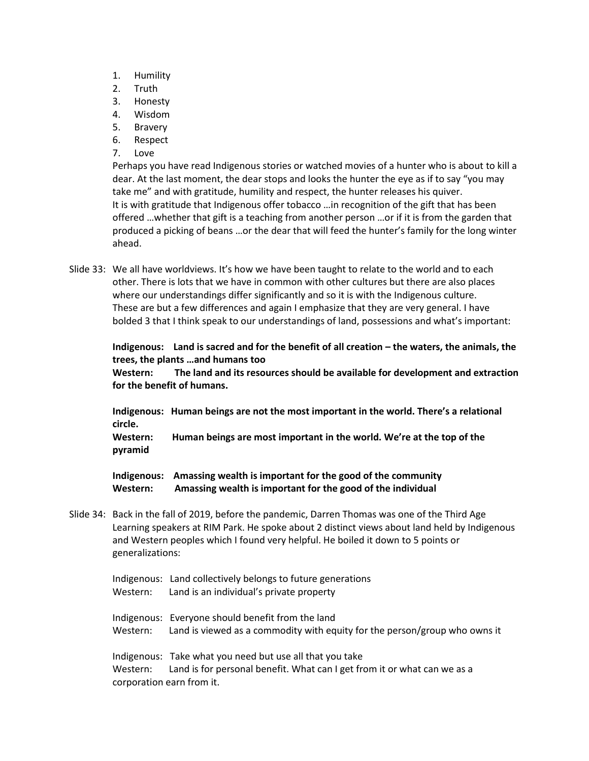- 1. Humility
- 2. Truth
- 3. Honesty
- 4. Wisdom
- 5. Bravery
- 6. Respect
- 7. Love

Perhaps you have read Indigenous stories or watched movies of a hunter who is about to kill a dear. At the last moment, the dear stops and looks the hunter the eye as if to say "you may take me" and with gratitude, humility and respect, the hunter releases his quiver. It is with gratitude that Indigenous offer tobacco …in recognition of the gift that has been offered …whether that gift is a teaching from another person …or if it is from the garden that produced a picking of beans …or the dear that will feed the hunter's family for the long winter ahead.

Slide 33: We all have worldviews. It's how we have been taught to relate to the world and to each other. There is lots that we have in common with other cultures but there are also places where our understandings differ significantly and so it is with the Indigenous culture. These are but a few differences and again I emphasize that they are very general. I have bolded 3 that I think speak to our understandings of land, possessions and what's important:

**Indigenous: Land is sacred and for the benefit of all creation – the waters, the animals, the trees, the plants …and humans too**

**Western: The land and its resources should be available for development and extraction for the benefit of humans.**

**Indigenous: Human beings are not the most important in the world. There's a relational circle.**

**Western: Human beings are most important in the world. We're at the top of the pyramid** 

**Indigenous: Amassing wealth is important for the good of the community Western: Amassing wealth is important for the good of the individual** 

Slide 34: Back in the fall of 2019, before the pandemic, Darren Thomas was one of the Third Age Learning speakers at RIM Park. He spoke about 2 distinct views about land held by Indigenous and Western peoples which I found very helpful. He boiled it down to 5 points or generalizations:

Indigenous: Land collectively belongs to future generations Western: Land is an individual's private property

Indigenous: Everyone should benefit from the land Western: Land is viewed as a commodity with equity for the person/group who owns it

Indigenous: Take what you need but use all that you take Western: Land is for personal benefit. What can I get from it or what can we as a corporation earn from it.